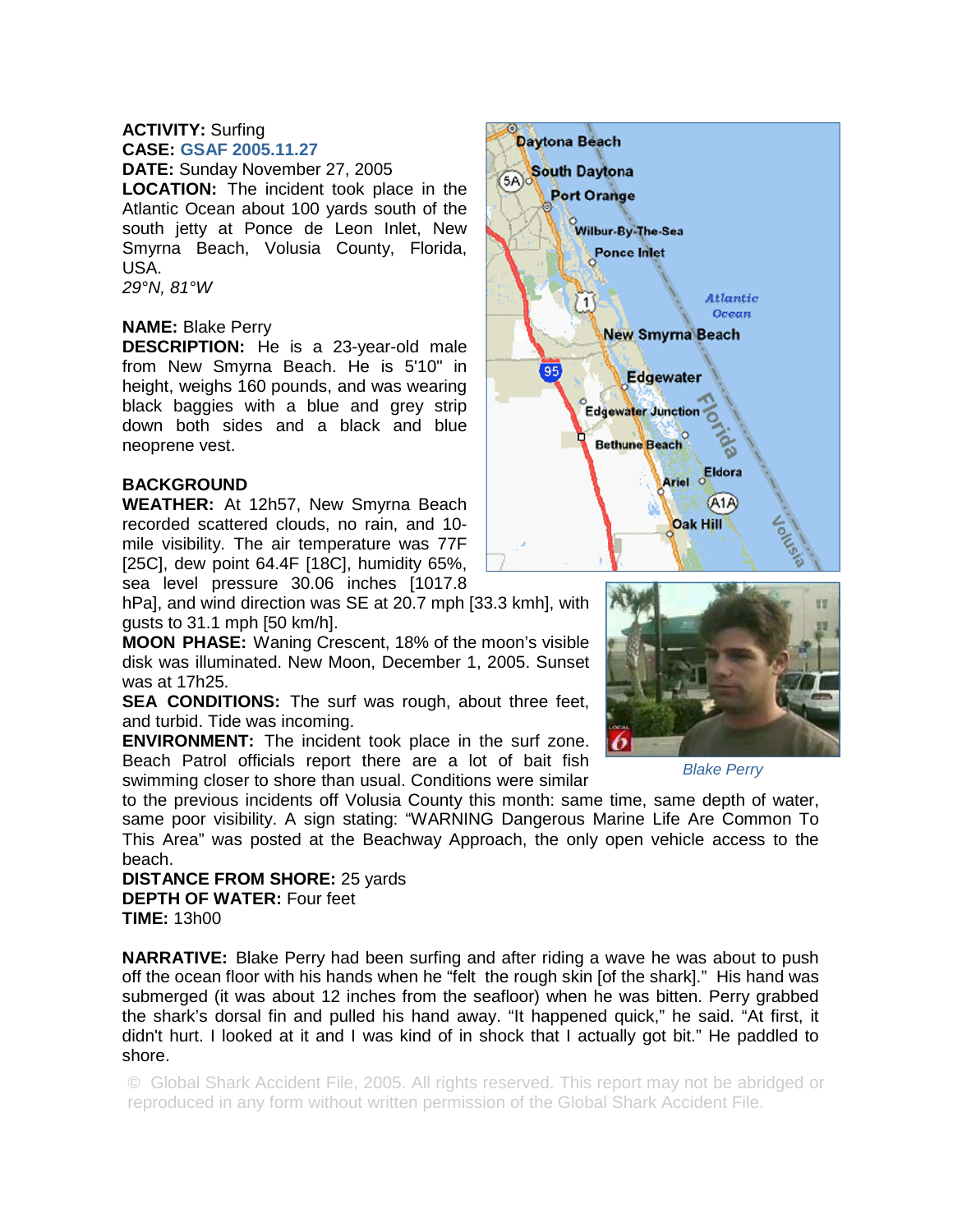## **ACTIVITY:** Surfing **CASE: GSAF 2005.11.27**

**DATE:** Sunday November 27, 2005

**LOCATION:** The incident took place in the Atlantic Ocean about 100 yards south of the south jetty at Ponce de Leon Inlet, New Smyrna Beach, Volusia County, Florida, USA.

*29°N, 81°W* 

## **NAME:** Blake Perry

**DESCRIPTION:** He is a 23-year-old male from New Smyrna Beach. He is 5'10" in height, weighs 160 pounds, and was wearing black baggies with a blue and grey strip down both sides and a black and blue neoprene vest.

## **BACKGROUND**

**WEATHER:** At 12h57, New Smyrna Beach recorded scattered clouds, no rain, and 10 mile visibility. The air temperature was 77F [25C], dew point 64.4F [18C], humidity 65%, sea level pressure 30.06 inches [1017.8

hPa], and wind direction was SE at 20.7 mph [33.3 kmh], with gusts to 31.1 mph [50 km/h].

**MOON PHASE:** Waning Crescent, 18% of the moon's visible disk was illuminated. New Moon, December 1, 2005. Sunset was at 17h25.

**SEA CONDITIONS:** The surf was rough, about three feet, and turbid. Tide was incoming.

**ENVIRONMENT:** The incident took place in the surf zone. Beach Patrol officials report there are a lot of bait fish swimming closer to shore than usual. Conditions were similar

to the previous incidents off Volusia County this month: same time, same depth of water, same poor visibility. A sign stating: "WARNING Dangerous Marine Life Are Common To This Area" was posted at the Beachway Approach, the only open vehicle access to the beach.

**DISTANCE FROM SHORE:** 25 yards **DEPTH OF WATER:** Four feet **TIME:** 13h00

**NARRATIVE:** Blake Perry had been surfing and after riding a wave he was about to push off the ocean floor with his hands when he "felt the rough skin [of the shark]." His hand was submerged (it was about 12 inches from the seafloor) when he was bitten. Perry grabbed the shark's dorsal fin and pulled his hand away. "It happened quick," he said. "At first, it didn't hurt. I looked at it and I was kind of in shock that I actually got bit." He paddled to shore.

© Global Shark Accident File, 2005. All rights reserved. This report may not be abridged or reproduced in any form without written permission of the Global Shark Accident File.





*Blake Perry*